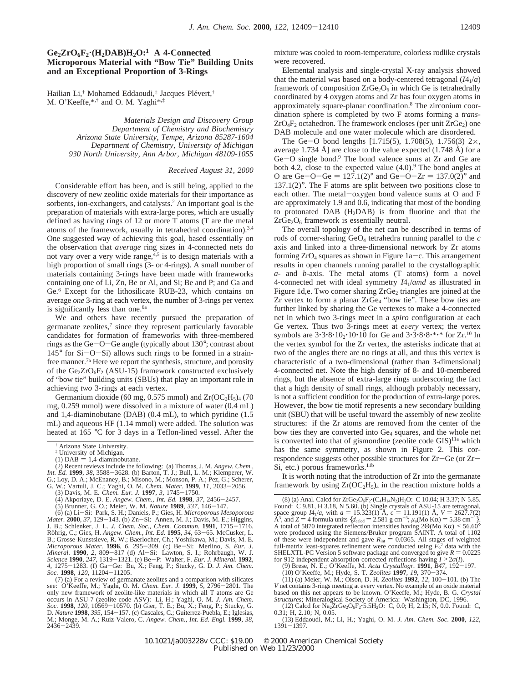## **Ge2ZrO6F2**'**(H2DAB)H2O:1 A 4-Connected Microporous Material with "Bow Tie" Building Units and an Exceptional Proportion of 3-Rings**

Hailian Li,<sup>†</sup> Mohamed Eddaoudi,<sup>‡</sup> Jacques Plévert,<sup>†</sup> M. O'Keeffe,\*,† and O. M. Yaghi\*,‡

> *Materials Design and Discovery Group Department of Chemistry and Biochemistry Arizona State Uni*V*ersity, Tempe, Arizona 85287-1604 Department of Chemistry, Uni*V*ersity of Michigan 930 North Uni*V*ersity, Ann Arbor, Michigan 48109-1055*

## *Recei*V*ed August 31, 2000*

Considerable effort has been, and is still being, applied to the discovery of new zeolitic oxide materials for their importance as sorbents, ion-exchangers, and catalysts.<sup>2</sup> An important goal is the preparation of materials with extra-large pores, which are usually defined as having rings of 12 or more T atoms (T are the metal atoms of the framework, usually in tetrahedral coordination).3,4 One suggested way of achieving this goal, based essentially on the observation that *<sup>a</sup>*V*erage* ring sizes in 4-connected nets do not vary over a very wide range, $4.5$  is to design materials with a high proportion of small rings (3- or 4-rings). A small number of materials containing 3-rings have been made with frameworks containing one of Li, Zn, Be or Al, and Si; Be and P; and Ga and Ge.6 Except for the lithosilicate RUB-23, which contains on average *one* 3-ring at each vertex, the number of 3-rings per vertex is significantly less than one.<sup>6a</sup>

We and others have recently pursued the preparation of germanate zeolites, $7 \text{ since they represent particularly favorable}$ candidates for formation of frameworks with three-membered rings as the  $Ge-O-Ge$  angle (typically about 130 $\degree$ ; contrast about  $145^{\circ}$  for Si $-O-Si$ ) allows such rings to be formed in a strainfree manner.<sup>7a</sup> Here we report the synthesis, structure, and porosity of the  $Ge_2ZrO_6F_2$  (ASU-15) framework constructed exclusively of "bow tie" building units (SBUs) that play an important role in achieving *two* 3-rings at each vertex.

Germanium dioxide (60 mg, 0.575 mmol) and  $Zr(OC<sub>2</sub>H<sub>5</sub>)<sub>4</sub>$  (70 mg, 0.259 mmol) were dissolved in a mixture of water (0.4 mL) and 1,4-diaminobutane (DAB) (0.4 mL), to which pyridine (1.5 mL) and aqueous HF (1.14 mmol) were added. The solution was heated at 165 °C for 3 days in a Teflon-lined vessel. After the

- (1) DAB = 1,4-diaminobutane.<br>(2) Recent reviews include the following: (a) Thomas, J. M. *Angew. Chem.*, *Int. Ed.* **1999**, 38, 3588–3628. (b) Barton, T. J.; Bull, L. M.; Klemperer, W. G.; Loy, D. A.; McEnaney, B.; Misono, M.; Monson, P. A.; Pez, G.; Scherer, G. W.; Vartuli, J. C.; Yaghi, O. M. Chem. *Mater.* **1999**, *I1*, 20
	-
	-
	- (3) Davis, M. E. *Chem. Eur. J.* **1997**, 3, 1745–1750.<br>(4) Akporiaye, D. E. *Angew. Chem., Int. Ed.* **1998**, 37, 2456–2457.<br>(5) Brunner, G. O.; Meier, W. M. *Nature* **1989**, 337, 146–147.<br>(6) (a) Li-Si: Park. S. H.: Daniel

*Mater.* **<sup>2000</sup>***, 37*, 129-143. (b) Zn-Si: Annen, M. J.; Davis, M. E.; Higgins, Röhrig, C.; Gies, H. Angew. Chem., Int. Ed. 1995, 34, 63-65. McCusker. L. Röhrig, C.; Gies, H. *Angew. Chem., Int. Ed.* **1995**, 34, 63–65. McCusker, L. B.; Grosse-Kunstsleve, R. W.; Baerlocher, Ch.; Yoshikawa, M.; Davis, M. E. *Microporous Mater.* **1996**, 6, 295–309. (c) Be-Si: Merlino, S. *Eur. Science* **<sup>1990</sup>**, *<sup>247</sup>*, 1319-1321. (e) Be-P: Walter, F. *Eur. J. Mineral.* **<sup>1992</sup>**, *<sup>4</sup>*, 1275-1283. (f) Ga-Ge: Bu, X.; Feng, P.; Stucky, G. D. *J. Am. Chem. Soc.* **<sup>1998</sup>**, *<sup>120</sup>*, 11204-11205.

(7) (a) For a review of germanate zeolites and a comparison with silicates see: O'Keeffe, M.; Yaghi, O. M. *Chem. Eur. J.* **<sup>1999</sup>**, *<sup>5</sup>*, 2796-2801. The only new framework of zeolite-like materials in which all T atoms are Ge occurs in ASU-7 (zeolite code ASV): Li, H.; Yaghi, O. M. *J. Am. Chem. Soc.* **<sup>1998</sup>**, *<sup>120</sup>*, 10569-10570*.* (b) Gier, T. E.; Bu, X.; Feng, P.; Stucky, G. D. *Nature* **<sup>1998</sup>**, *<sup>395</sup>*, 154-157. (c) Cascales, C.; Guiterrez-Puebla, E.; Iglesias, M.; Monge, M. A.; Ruiz-Valero, C. *Angew. Chem., Int. Ed. Engl.* **1999**, *38*, <sup>2436</sup>-2439.

mixture was cooled to room-temperature, colorless rodlike crystals were recovered.

Elemental analysis and single-crystal X-ray analysis showed that the material was based on a body-centered tetragonal  $(I4_1/a)$ framework of composition  $ZrGe_2O_6$  in which Ge is tetrahedrally coordinated by 4 oxygen atoms and Zr has four oxygen atoms in approximately square-planar coordination.8 The zirconium coordination sphere is completed by two F atoms forming a *trans*- $ZrO_4F_2$  octahedron. The framework encloses (per unit  $ZrGe_2$ ) one DAB molecule and one water molecule which are disordered.

The Ge-O bond lengths  $[1.715(5), 1.708(5), 1.756(3) 2 \times,$ average 1.734 Å] are close to the value expected  $(1.748 \text{ Å})$  for a  $Ge-O$  single bond.<sup>9</sup> The bond valence sums at  $Zr$  and  $Ge$  are both 4.2, close to the expected value  $(4.0)$ . The bond angles at O are Ge-O-Ge =  $127.1(2)°$  and Ge-O-Zr =  $137.0(2)°$  and  $137.1(2)$ °. The F atoms are split between two positions close to each other. The metal-oxygen bond valence sums at O and F are approximately 1.9 and 0.6, indicating that most of the bonding to protonated DAB (H2DAB) is from fluorine and that the  $ZrGe<sub>2</sub>O<sub>6</sub>$  framework is essentially neutral.

The overall topology of the net can be described in terms of rods of corner-sharing GeO4 tetrahedra running parallel to the *c* axis and linked into a three-dimensional network by Zr atoms forming  $ZrO_4$  squares as shown in Figure 1a-c. This arrangement results in open channels running parallel to the crystallographic *a*- and *b*-axis. The metal atoms (T atoms) form a novel 4-connected net with ideal symmetry *I*41/*amd* as illustrated in Figure 1d,e. Two corner sharing  $ZrGe_2$  triangles are joined at the Zr vertex to form a planar  $ZrGe_4$  "bow tie". These bow ties are further linked by sharing the Ge vertexes to make a 4-connected net in which two 3-rings meet in a *spiro* configuration at each Ge vertex. Thus two 3-rings meet at *every* vertex; the vertex symbols are  $3.3.8 \cdot 10_2 \cdot 10 \cdot 10$  for Ge and  $3.3.8 \cdot 8 \cdot 8 \cdot * \cdot *$  for Zr.<sup>10</sup> In the vertex symbol for the Zr vertex, the asterisks indicate that at two of the angles there are no rings at all, and thus this vertex is characteristic of a two-dimensional (rather than 3-dimensional) 4-connected net. Note the high density of 8- and 10-membered rings, but the absence of extra-large rings underscoring the fact that a high density of small rings, although probably necessary, is not a sufficient condition for the production of extra-large pores. However, the bow tie motif represents a new secondary building unit (SBU) that will be useful toward the assembly of new zeolite structures: if the Zr atoms are removed from the center of the bow ties they are converted into Ge<sub>4</sub> squares, and the whole net is converted into that of gismondine (zeolite code  $GIS)^{11a}$  which has the same symmetry, as shown in Figure 2. This correspondence suggests other possible structures for Zr-Ge (or Zr-Si, etc.) porous frameworks.<sup>11b</sup>

It is worth noting that the introduction of Zr into the germanate framework by using  $Zr(OC_2H_5)_4$  in the reaction mixture holds a

<sup>†</sup> Arizona State University.

<sup>&</sup>lt;sup>‡</sup> University of Michigan.<br>(1) DAB = 1,4-diaminobutane.

<sup>(6) (</sup>a) Li-Si: Park, S. H.; Daniels, P.; Gies, H. *Microporous Mesoporous*

<sup>(8) (</sup>a) Anal. Calcd for ZrGe<sub>2</sub>O<sub>6</sub>F<sub>2</sub><sup>+</sup>(C<sub>4</sub>H<sub>14</sub>N<sub>2</sub>)H<sub>2</sub>O: C 10.04; H 3.37; N 5.85.<br>Found: C 9.81, H 3.18, N 5.60. (b) Single crystals of ASU-15 are tetragonal,<br>space group  $I4_I/a$ , with  $a = 15.323(1)$  Å,  $c = 11.191(1$ Å<sup>3</sup>, and *Z* = 4 formula units {*d*<sub>calcd</sub> = 2.581 g cm<sup>-3</sup>; *µ*<sub>a</sub>(Mo K $\alpha$ ) = 5.38 cm<sup>-1</sup>}.<br>A total of 5870 integrated reflection intensities having 2 $\Theta$ (Mo K $\alpha$ ) < 56.60° A total of 5870 integrated reflection intensities having  $2Θ(Mo Kα)$  < 56.60° were produced using the Siemens/Bruker program SAINT. A total of 1102 of these were independent and gave  $R_{int} = 0.0365$ . All stages of weighted full-matrix least-squares refinement were conducted using  $F_c^2$  data with th full-matrix least-squares refinement were conducted using  $\bar{F}_0^2$  data with the SHELXTL-PC Version 5 software package and converged to give  $R = 0.0225$  for 912 independent absorption-corrected reflections having  $I > 2\sigma(I)$ .

for 912 independent absorption-corrected reflections having  $I > 2\sigma(I)$ .<br>
(9) Brese, N. E.; O'Keeffe, M. Acta Crystallogr. **1991**, *B47*, 192–197.<br>
(10) O'Keeffe, M.; Hyde, S. T. Zeolites **1997**, 19, 370–374.<br>
(11) (a) Mei

<sup>(11) (</sup>a) Meier, W. M.; Olson, D. H*. Zeolites* **<sup>1992</sup>**, *<sup>12</sup>*, 100-101. (b) The *V* net contains 3-rings meeting at every vertex. No example of an oxide material based on this net appears to be known. O'Keeffe, M.; Hyde, B. G. *Crystal Structures*; Mineralogical Society of America: Washington, DC, 1996.

<sup>(12)</sup> Calcd for  $\text{Na}_2\text{ZrGe}_2\text{O}_6\text{F}_2\text{-}5.5\text{H}_2\text{O}$ : C, 0.0; H, 2.15; N, 0.0. Found: C, 0.31; H, 2.10; N, 0.05.

<sup>(13)</sup> Eddaoudi, M.; Li, H.; Yaghi, O. M. *J. Am. Chem. Soc*. **<sup>2000</sup>**, *<sup>122</sup>*, <sup>1391</sup>-1397.